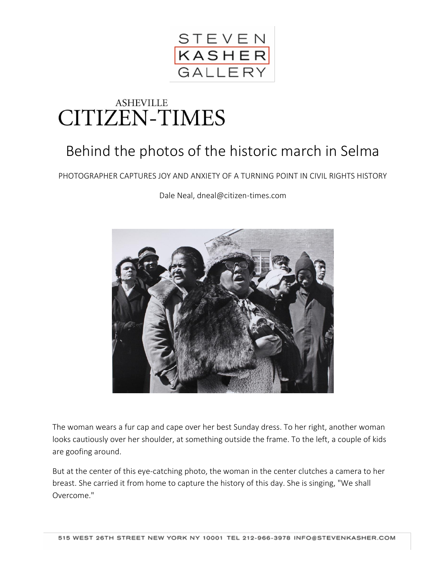

## **ASHEVILLE** CITIZEN-TIMES

## Behind the photos of the historic march in Selma

## PHOTOGRAPHER CAPTURES JOY AND ANXIETY OF A TURNING POINT IN CIVIL RIGHTS HISTORY

[Dale Neal, dneal@citizen-times.com](http://www.citizen-times.com/staff/30281/dale-neal)



The woman wears a fur cap and cape over her best Sunday dress. To her right, another woman looks cautiously over her shoulder, at something outside the frame. To the left, a couple of kids are goofing around.

But at the center of this eye-catching photo, the woman in the center clutches a camera to her breast. She carried it from home to capture the history of this day. She is singing, "We shall Overcome."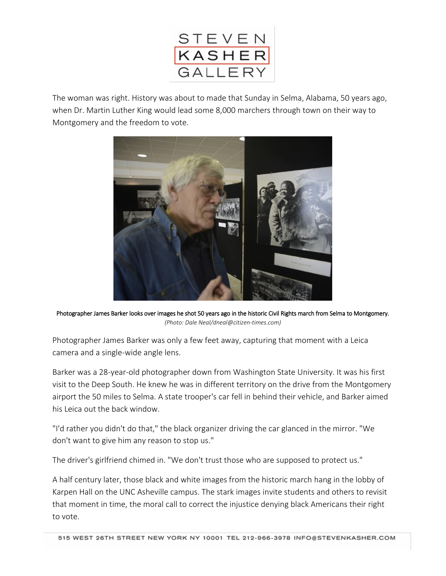

The woman was right. History was about to made that Sunday in Selma, Alabama, 50 years ago, when Dr. Martin Luther King would lead some 8,000 marchers through town on their way to Montgomery and the freedom to vote.



Photographer James Barker looks over images he shot 50 years ago in the historic Civil Rights march from Selma to Montgomery. *(Photo: Dale Neal/dneal@citizen-times.com)*

Photographer James Barker was only a few feet away, capturing that moment with a Leica camera and a single-wide angle lens.

Barker was a 28-year-old photographer down from Washington State University. It was his first visit to the Deep South. He knew he was in different territory on the drive from the Montgomery airport the 50 miles to Selma. A state trooper's car fell in behind their vehicle, and Barker aimed his Leica out the back window.

"I'd rather you didn't do that," the black organizer driving the car glanced in the mirror. "We don't want to give him any reason to stop us."

The driver's girlfriend chimed in. "We don't trust those who are supposed to protect us."

A half century later, those black and white images from the historic march [hang in the lobby of](http://www.citizen-times.com/story/news/local/2015/01/29/unc-asheville-exhibit-highlights-historic-selma-march/22544205/)  [Karpen Hall on the UNC Asheville campus.](http://www.citizen-times.com/story/news/local/2015/01/29/unc-asheville-exhibit-highlights-historic-selma-march/22544205/) The stark images invite students and others to revisit that moment in time, the moral call to correct the injustice denying black Americans their right to vote.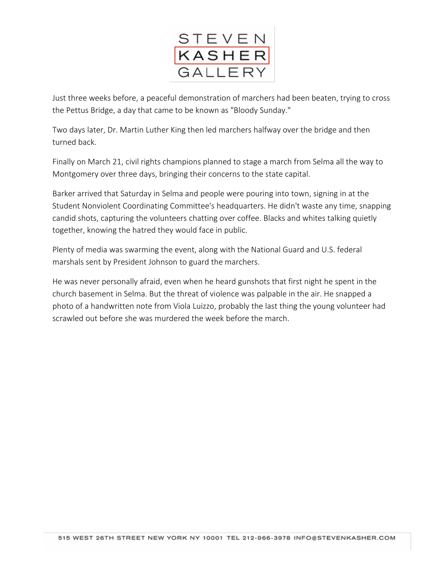

Just three weeks before, a peaceful demonstration of marchers had been beaten, trying to cross the Pettus Bridge, a day that came to be known as "Bloody Sunday."

Two days later, Dr. Martin Luther King then led marchers halfway over the bridge and then turned back.

Finally on March 21, civil rights champions planned to stage a march from Selma all the way to Montgomery over three days, bringing their concerns to the state capital.

Barker arrived that Saturday in Selma and people were pouring into town, signing in at the Student Nonviolent Coordinating Committee's headquarters. He didn't waste any time, snapping candid shots, capturing the volunteers chatting over coffee. Blacks and whites talking quietly together, knowing the hatred they would face in public.

Plenty of media was swarming the event, along with the National Guard and U.S. federal marshals sent by President Johnson to guard the marchers.

He was never personally afraid, even when he heard gunshots that first night he spent in the church basement in Selma. But the threat of violence was palpable in the air. He snapped a photo of a handwritten note from Viola Luizzo, probably the last thing the young volunteer had scrawled out before she was murdered the week before the march.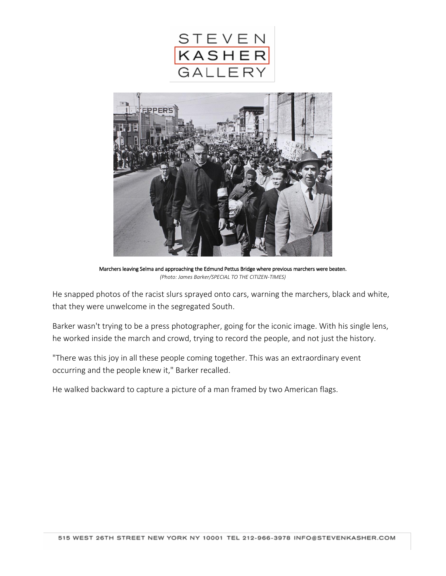



Marchers leaving Selma and approaching the Edmund Pettus Bridge where previous marchers were beaten. *(Photo: James Barker/SPECIAL TO THE CITIZEN-TIMES)*

He snapped photos of the racist slurs sprayed onto cars, warning the marchers, black and white, that they were unwelcome in the segregated South.

Barker wasn't trying to be a press photographer, going for the iconic image. With his single lens, he worked inside the march and crowd, trying to record the people, and not just the history.

"There was this joy in all these people coming together. This was an extraordinary event occurring and the people knew it," Barker recalled.

He walked backward to capture a picture of a man framed by two American flags.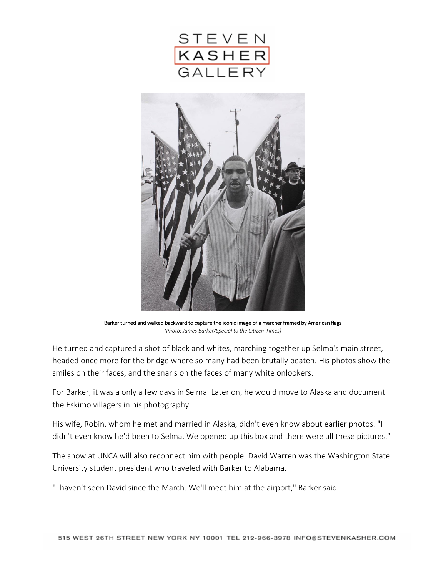



Barker turned and walked backward to capture the iconic image of a marcher framed by American flags *(Photo: James Barker/Special to the Citizen-Times)*

He turned and captured a shot of black and whites, marching together up Selma's main street, headed once more for the bridge where so many had been brutally beaten. His photos show the smiles on their faces, and the snarls on the faces of many white onlookers.

For Barker, it was a only a few days in Selma. Later on, he would move to Alaska and document the Eskimo villagers in his photography.

His wife, Robin, whom he met and married in Alaska, didn't even know about earlier photos. "I didn't even know he'd been to Selma. We opened up this box and there were all these pictures."

The show at UNCA will also reconnect him with people. David Warren was the Washington State University student president who traveled with Barker to Alabama.

"I haven't seen David since the March. We'll meet him at the airport," Barker said.